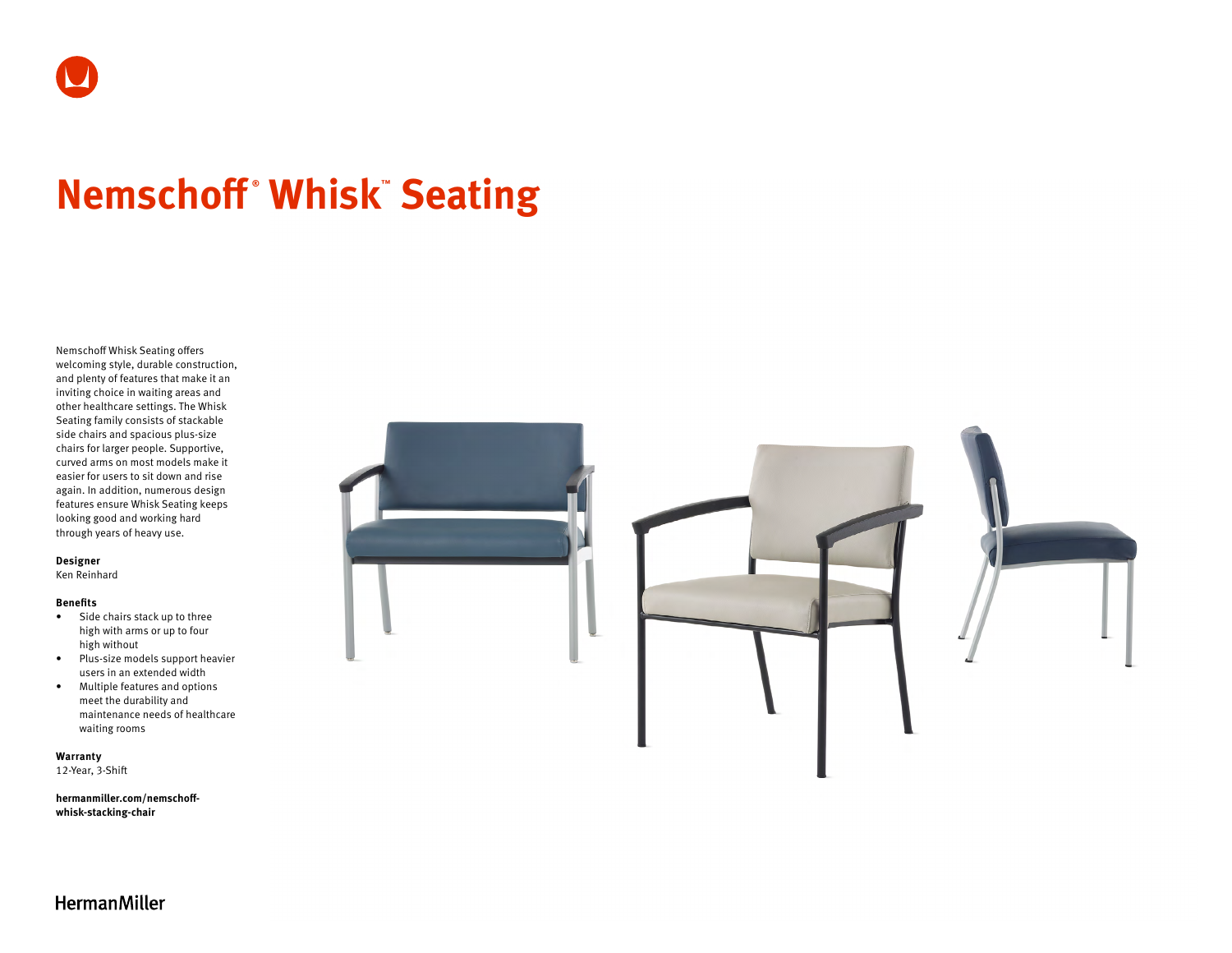# **Nemschoff ® Whisk™ Seating**

Nemschoff Whisk Seating offers welcoming style, durable construction, and plenty of features that make it an inviting choice in waiting areas and other healthcare settings. The Whisk Seating family consists of stackable side chairs and spacious plus-size chairs for larger people. Supportive, curved arms on most models make it easier for users to sit down and rise again. In addition, numerous design features ensure Whisk Seating keeps looking good and working hard through years of heavy use.

#### **Designer**

Ken Reinhard

#### **Benefits**

- Side chairs stack up to three high with arms or up to four high without
- Plus-size models support heavier users in an extended width
- Multiple features and options meet the durability and maintenance needs of healthcare waiting rooms

**Warranty** 

12-Year, 3-Shift

**[hermanmiller.com/nemschoff](http://hermanmiller.com/nemschoff-whisk-stacking-chair)[whisk-stacking-chair](http://hermanmiller.com/nemschoff-whisk-stacking-chair)**



**HermanMiller**